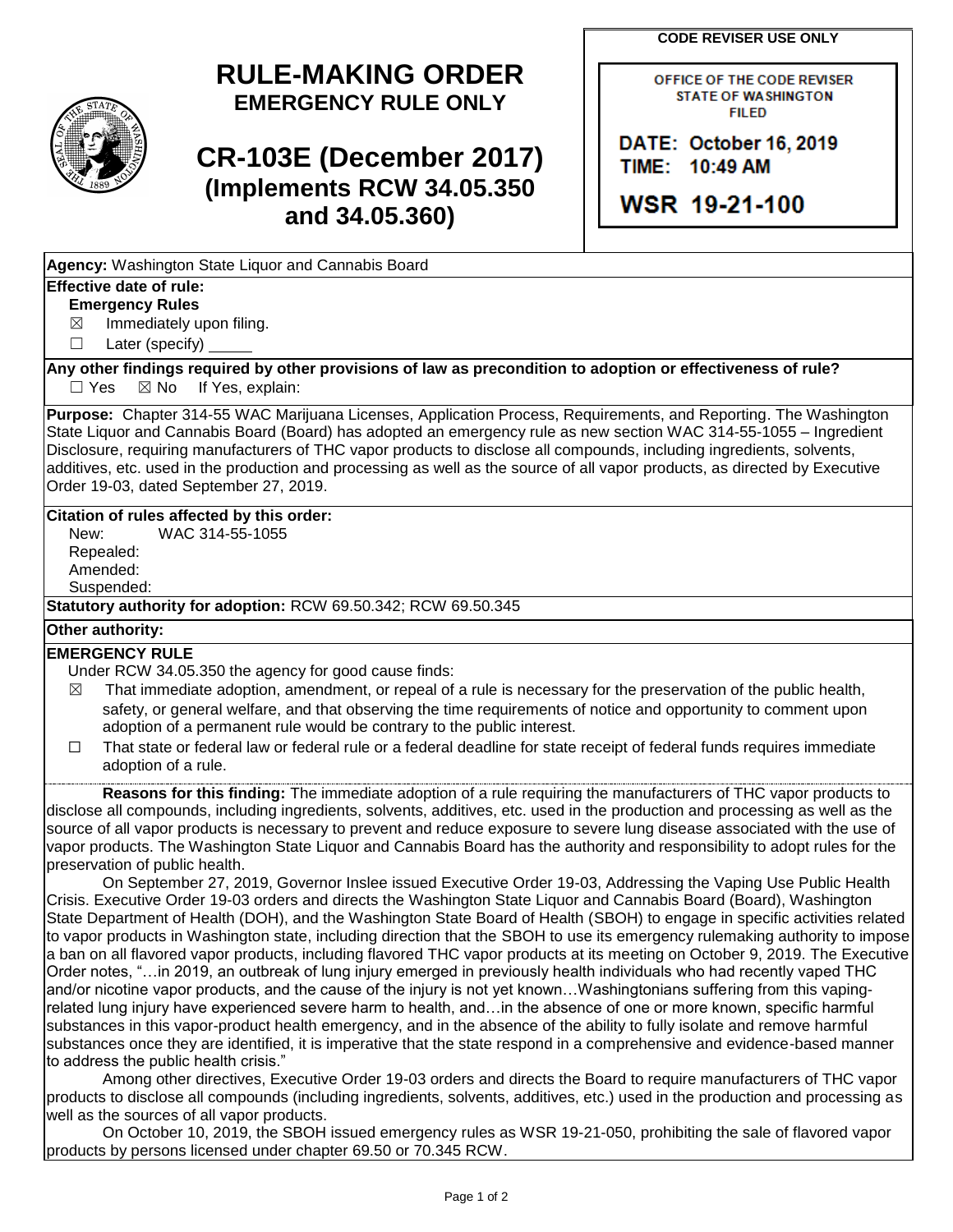**CODE REVISER USE ONLY**

OFFICE OF THE CODE REVISER **STATE OF WASHINGTON FILED** 

# **RULE-MAKING ORDER EMERGENCY RULE ONLY**

# **CR-103E (December 2017) (Implements RCW 34.05.350 and 34.05.360)**

**Agency:** Washington State Liquor and Cannabis Board

## **Effective date of rule:**

### **Emergency Rules**

 $\boxtimes$  Immediately upon filing.

☐ Later (specify)

**Any other findings required by other provisions of law as precondition to adoption or effectiveness of rule?**  $\Box$  Yes  $\boxtimes$  No If Yes, explain:

**Purpose:** Chapter 314-55 WAC Marijuana Licenses, Application Process, Requirements, and Reporting. The Washington State Liquor and Cannabis Board (Board) has adopted an emergency rule as new section WAC 314-55-1055 – Ingredient Disclosure, requiring manufacturers of THC vapor products to disclose all compounds, including ingredients, solvents, additives, etc. used in the production and processing as well as the source of all vapor products, as directed by Executive Order 19-03, dated September 27, 2019.

### **Citation of rules affected by this order:**

New: WAC 314-55-1055 Repealed: Amended: Suspended:

**Statutory authority for adoption:** RCW 69.50.342; RCW 69.50.345

#### **Other authority:**

#### **EMERGENCY RULE**

Under RCW 34.05.350 the agency for good cause finds:

- $\boxtimes$  That immediate adoption, amendment, or repeal of a rule is necessary for the preservation of the public health, safety, or general welfare, and that observing the time requirements of notice and opportunity to comment upon adoption of a permanent rule would be contrary to the public interest.
- ☐ That state or federal law or federal rule or a federal deadline for state receipt of federal funds requires immediate adoption of a rule.

**Reasons for this finding:** The immediate adoption of a rule requiring the manufacturers of THC vapor products to disclose all compounds, including ingredients, solvents, additives, etc. used in the production and processing as well as the source of all vapor products is necessary to prevent and reduce exposure to severe lung disease associated with the use of vapor products. The Washington State Liquor and Cannabis Board has the authority and responsibility to adopt rules for the preservation of public health.

On September 27, 2019, Governor Inslee issued Executive Order 19-03, Addressing the Vaping Use Public Health Crisis. Executive Order 19-03 orders and directs the Washington State Liquor and Cannabis Board (Board), Washington State Department of Health (DOH), and the Washington State Board of Health (SBOH) to engage in specific activities related to vapor products in Washington state, including direction that the SBOH to use its emergency rulemaking authority to impose a ban on all flavored vapor products, including flavored THC vapor products at its meeting on October 9, 2019. The Executive Order notes, "…in 2019, an outbreak of lung injury emerged in previously health individuals who had recently vaped THC and/or nicotine vapor products, and the cause of the injury is not yet known…Washingtonians suffering from this vapingrelated lung injury have experienced severe harm to health, and…in the absence of one or more known, specific harmful substances in this vapor-product health emergency, and in the absence of the ability to fully isolate and remove harmful substances once they are identified, it is imperative that the state respond in a comprehensive and evidence-based manner to address the public health crisis."

Among other directives, Executive Order 19-03 orders and directs the Board to require manufacturers of THC vapor products to disclose all compounds (including ingredients, solvents, additives, etc.) used in the production and processing as well as the sources of all vapor products.

 On October 10, 2019, the SBOH issued emergency rules as WSR 19-21-050, prohibiting the sale of flavored vapor products by persons licensed under chapter 69.50 or 70.345 RCW.

DATE: October 16, 2019 TIME: 10:49 AM

WSR 19-21-100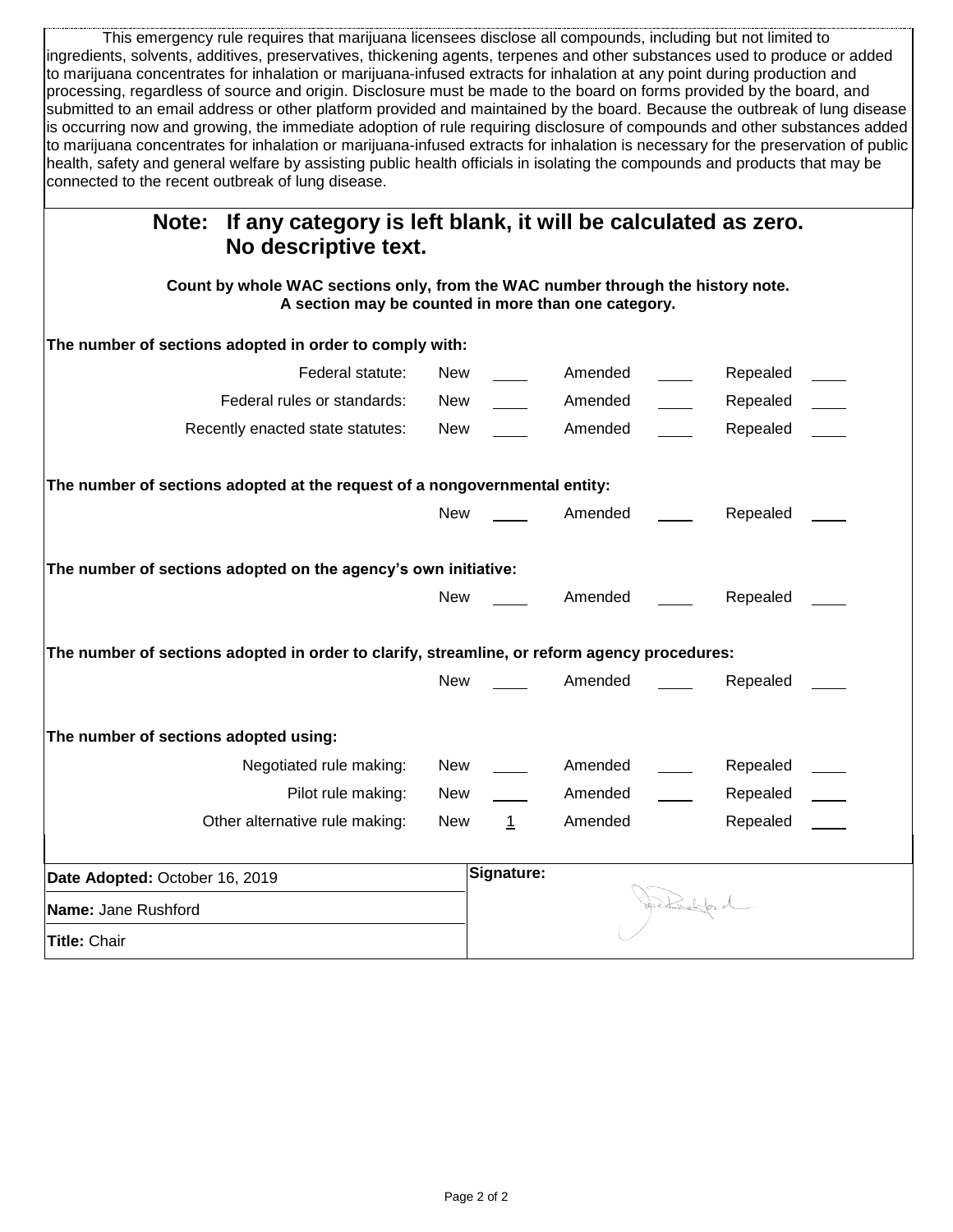This emergency rule requires that marijuana licensees disclose all compounds, including but not limited to ingredients, solvents, additives, preservatives, thickening agents, terpenes and other substances used to produce or added to marijuana concentrates for inhalation or marijuana-infused extracts for inhalation at any point during production and processing, regardless of source and origin. Disclosure must be made to the board on forms provided by the board, and submitted to an email address or other platform provided and maintained by the board. Because the outbreak of lung disease is occurring now and growing, the immediate adoption of rule requiring disclosure of compounds and other substances added to marijuana concentrates for inhalation or marijuana-infused extracts for inhalation is necessary for the preservation of public health, safety and general welfare by assisting public health officials in isolating the compounds and products that may be connected to the recent outbreak of lung disease.

| If any category is left blank, it will be calculated as zero.<br>Note:<br>No descriptive text.                                         |                     |         |                |
|----------------------------------------------------------------------------------------------------------------------------------------|---------------------|---------|----------------|
| Count by whole WAC sections only, from the WAC number through the history note.<br>A section may be counted in more than one category. |                     |         |                |
| The number of sections adopted in order to comply with:                                                                                |                     |         |                |
| Federal statute:                                                                                                                       | New                 | Amended | Repealed       |
| Federal rules or standards:                                                                                                            | New                 | Amended | Repealed       |
| Recently enacted state statutes:                                                                                                       | New                 | Amended | Repealed       |
| The number of sections adopted at the request of a nongovernmental entity:                                                             |                     |         |                |
|                                                                                                                                        | New                 | Amended | Repealed       |
| The number of sections adopted on the agency's own initiative:                                                                         |                     |         |                |
|                                                                                                                                        | New                 | Amended | Repealed       |
| The number of sections adopted in order to clarify, streamline, or reform agency procedures:                                           |                     |         |                |
|                                                                                                                                        | New                 | Amended | Repealed       |
| The number of sections adopted using:                                                                                                  |                     |         |                |
| Negotiated rule making:                                                                                                                | New                 | Amended | Repealed       |
| Pilot rule making:                                                                                                                     | New                 | Amended | Repealed       |
| Other alternative rule making:                                                                                                         | New<br>$\mathbf{1}$ | Amended | Repealed       |
| Date Adopted: October 16, 2019                                                                                                         | Signature:          |         |                |
| Name: Jane Rushford                                                                                                                    |                     |         | Jectural for d |
| Title: Chair                                                                                                                           |                     |         |                |